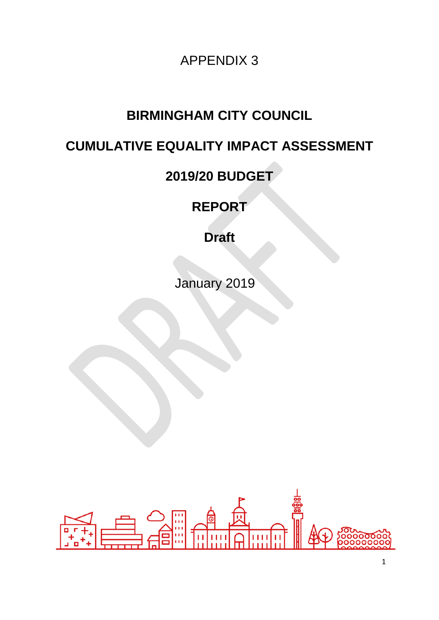APPENDIX 3

# **BIRMINGHAM CITY COUNCIL**

# **CUMULATIVE EQUALITY IMPACT ASSESSMENT**

# **2019/20 BUDGET**

**REPORT**

**Draft** 

January 2019

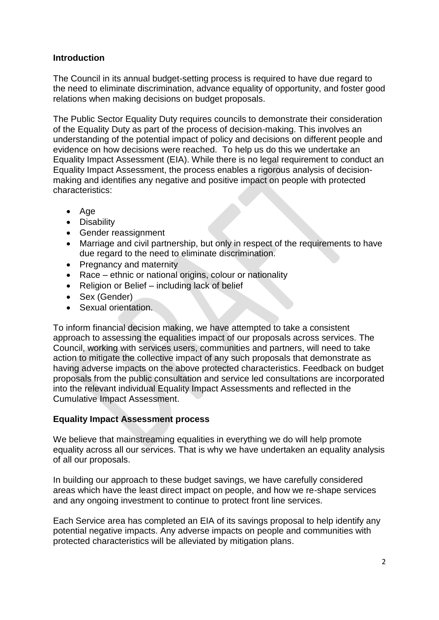# **Introduction**

The Council in its annual budget-setting process is required to have due regard to the need to eliminate discrimination, advance equality of opportunity, and foster good relations when making decisions on budget proposals.

The Public Sector Equality Duty requires councils to demonstrate their consideration of the Equality Duty as part of the process of decision-making. This involves an understanding of the potential impact of policy and decisions on different people and evidence on how decisions were reached. To help us do this we undertake an Equality Impact Assessment (EIA). While there is no legal requirement to conduct an Equality Impact Assessment, the process enables a rigorous analysis of decisionmaking and identifies any negative and positive impact on people with protected characteristics:

- $\bullet$  Age
- Disability
- Gender reassignment
- Marriage and civil partnership, but only in respect of the requirements to have due regard to the need to eliminate discrimination.
- Pregnancy and maternity
- Race ethnic or national origins, colour or nationality
- Religion or Belief including lack of belief
- Sex (Gender)
- Sexual orientation.

To inform financial decision making, we have attempted to take a consistent approach to assessing the equalities impact of our proposals across services. The Council, working with services users, communities and partners, will need to take action to mitigate the collective impact of any such proposals that demonstrate as having adverse impacts on the above protected characteristics. Feedback on budget proposals from the public consultation and service led consultations are incorporated into the relevant individual Equality Impact Assessments and reflected in the Cumulative Impact Assessment.

#### **Equality Impact Assessment process**

We believe that mainstreaming equalities in everything we do will help promote equality across all our services. That is why we have undertaken an equality analysis of all our proposals.

In building our approach to these budget savings, we have carefully considered areas which have the least direct impact on people, and how we re-shape services and any ongoing investment to continue to protect front line services.

Each Service area has completed an EIA of its savings proposal to help identify any potential negative impacts. Any adverse impacts on people and communities with protected characteristics will be alleviated by mitigation plans.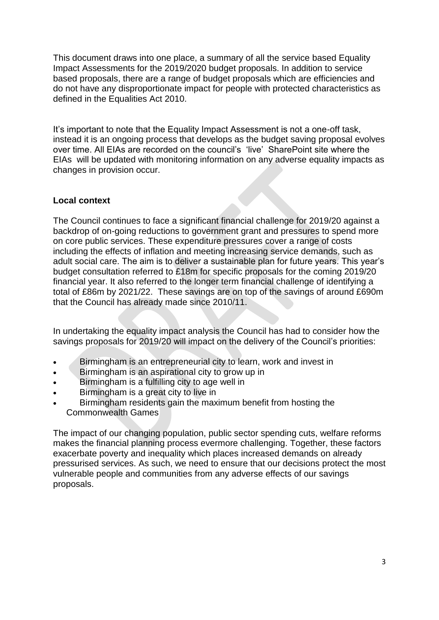This document draws into one place, a summary of all the service based Equality Impact Assessments for the 2019/2020 budget proposals. In addition to service based proposals, there are a range of budget proposals which are efficiencies and do not have any disproportionate impact for people with protected characteristics as defined in the Equalities Act 2010.

It's important to note that the Equality Impact Assessment is not a one-off task, instead it is an ongoing process that develops as the budget saving proposal evolves over time. All EIAs are recorded on the council's 'live' SharePoint site where the EIAs will be updated with monitoring information on any adverse equality impacts as changes in provision occur.

# **Local context**

The Council continues to face a significant financial challenge for 2019/20 against a backdrop of on-going reductions to government grant and pressures to spend more on core public services. These expenditure pressures cover a range of costs including the effects of inflation and meeting increasing service demands, such as adult social care. The aim is to deliver a sustainable plan for future years. This year's budget consultation referred to £18m for specific proposals for the coming 2019/20 financial year. It also referred to the longer term financial challenge of identifying a total of £86m by 2021/22. These savings are on top of the savings of around £690m that the Council has already made since 2010/11.

In undertaking the equality impact analysis the Council has had to consider how the savings proposals for 2019/20 will impact on the delivery of the Council's priorities:

- Birmingham is an entrepreneurial city to learn, work and invest in
- Birmingham is an aspirational city to grow up in
- Birmingham is a fulfilling city to age well in
- Birmingham is a great city to live in
- Birmingham residents gain the maximum benefit from hosting the Commonwealth Games

The impact of our changing population, public sector spending cuts, welfare reforms makes the financial planning process evermore challenging. Together, these factors exacerbate poverty and inequality which places increased demands on already pressurised services. As such, we need to ensure that our decisions protect the most vulnerable people and communities from any adverse effects of our savings proposals.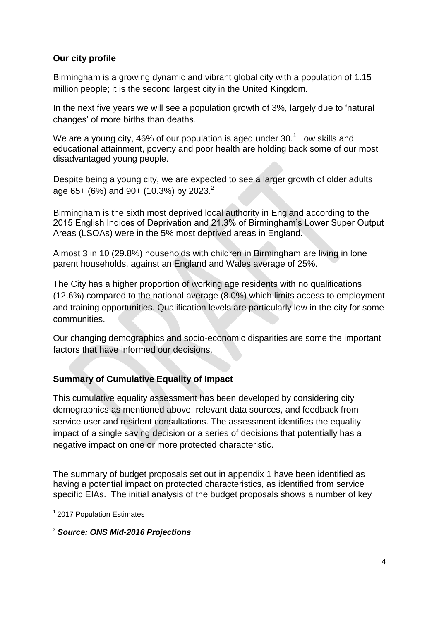# **Our city profile**

Birmingham is a growing dynamic and vibrant global city with a population of 1.15 million people; it is the second largest city in the United Kingdom.

In the next five years we will see a population growth of 3%, largely due to 'natural changes' of more births than deaths.

We are a young city, 46% of our population is aged under 30. $^1$  Low skills and educational attainment, poverty and poor health are holding back some of our most disadvantaged young people.

Despite being a young city, we are expected to see a larger growth of older adults age 65+ (6%) and 90+ (10.3%) by 2023.<sup>2</sup>

Birmingham is the sixth most deprived local authority in England according to the 2015 English Indices of Deprivation and 21.3% of Birmingham's Lower Super Output Areas (LSOAs) were in the 5% most deprived areas in England.

Almost 3 in 10 (29.8%) households with children in Birmingham are living in lone parent households, against an England and Wales average of 25%.

The City has a higher proportion of working age residents with no qualifications (12.6%) compared to the national average (8.0%) which limits access to employment and training opportunities. Qualification levels are particularly low in the city for some communities.

Our changing demographics and socio-economic disparities are some the important factors that have informed our decisions.

# **Summary of Cumulative Equality of Impact**

This cumulative equality assessment has been developed by considering city demographics as mentioned above, relevant data sources, and feedback from service user and resident consultations. The assessment identifies the equality impact of a single saving decision or a series of decisions that potentially has a negative impact on one or more protected characteristic.

The summary of budget proposals set out in appendix 1 have been identified as having a potential impact on protected characteristics, as identified from service specific EIAs. The initial analysis of the budget proposals shows a number of key

1 <sup>1</sup> 2017 Population Estimates

<sup>2</sup> *Source: ONS Mid-2016 Projections*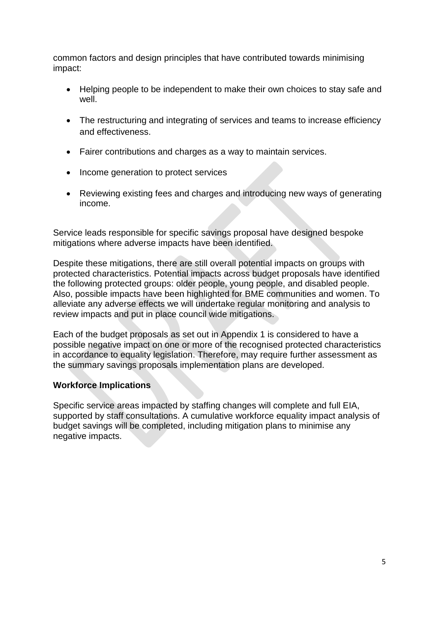common factors and design principles that have contributed towards minimising impact:

- Helping people to be independent to make their own choices to stay safe and well.
- The restructuring and integrating of services and teams to increase efficiency and effectiveness.
- Fairer contributions and charges as a way to maintain services.
- Income generation to protect services
- Reviewing existing fees and charges and introducing new ways of generating income.

Service leads responsible for specific savings proposal have designed bespoke mitigations where adverse impacts have been identified.

Despite these mitigations, there are still overall potential impacts on groups with protected characteristics. Potential impacts across budget proposals have identified the following protected groups: older people, young people, and disabled people. Also, possible impacts have been highlighted for BME communities and women. To alleviate any adverse effects we will undertake regular monitoring and analysis to review impacts and put in place council wide mitigations.

Each of the budget proposals as set out in Appendix 1 is considered to have a possible negative impact on one or more of the recognised protected characteristics in accordance to equality legislation. Therefore, may require further assessment as the summary savings proposals implementation plans are developed.

# **Workforce Implications**

Specific service areas impacted by staffing changes will complete and full EIA, supported by staff consultations. A cumulative workforce equality impact analysis of budget savings will be completed, including mitigation plans to minimise any negative impacts.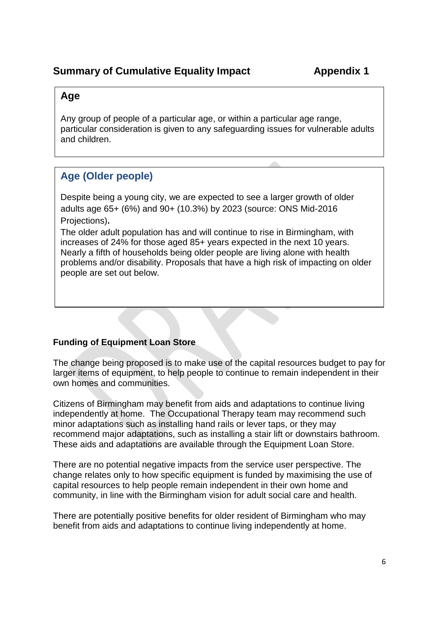# **Summary of Cumulative Equality Impact Appendix 1**

# **Age**

Any group of people of a particular age, or within a particular age range, particular consideration is given to any safeguarding issues for vulnerable adults and children.

There are proposals which may impact on  $\mathcal{C}$  and  $\mathcal{C}$  and  $\mathcal{C}$  and  $\mathcal{C}$  and  $\mathcal{C}$  and  $\mathcal{C}$  and  $\mathcal{C}$  and  $\mathcal{C}$  and  $\mathcal{C}$  and  $\mathcal{C}$  and  $\mathcal{C}$  and  $\mathcal{C}$  and  $\mathcal{C}$  and  $\mathcal{C}$  and

#### The main risks are detailed below. For example, ensuring we have addressed **Age (Older people)**  $\sigma$  inclusion to support to our services for our services for our services for our services for our services for  $\sigma$

Despite being a young city, we are expected to see a larger growth of older adults age 65+ (6%) and 90+ (10.3%) by 2023 (source: ONS Mid-2016 Projections)**.**

The older adult population has and will continue to rise in Birmingham, with increases of 24% for those aged 85+ years expected in the next 10 years. Nearly a fifth of households being older people are living alone with health problems and/or disability. Proposals that have a high risk of impacting on older people are set out below.

# **Funding of Equipment Loan Store**

The change being proposed is to make use of the capital resources budget to pay for larger items of equipment, to help people to continue to remain independent in their own homes and communities.

Citizens of Birmingham may benefit from aids and adaptations to continue living independently at home. The Occupational Therapy team may recommend such minor adaptations such as installing hand rails or lever taps, or they may recommend major adaptations, such as installing a stair lift or downstairs bathroom. These aids and adaptations are available through the Equipment Loan Store.

There are no potential negative impacts from the service user perspective. The change relates only to how specific equipment is funded by maximising the use of capital resources to help people remain independent in their own home and community, in line with the Birmingham vision for adult social care and health.

There are potentially positive benefits for older resident of Birmingham who may benefit from aids and adaptations to continue living independently at home.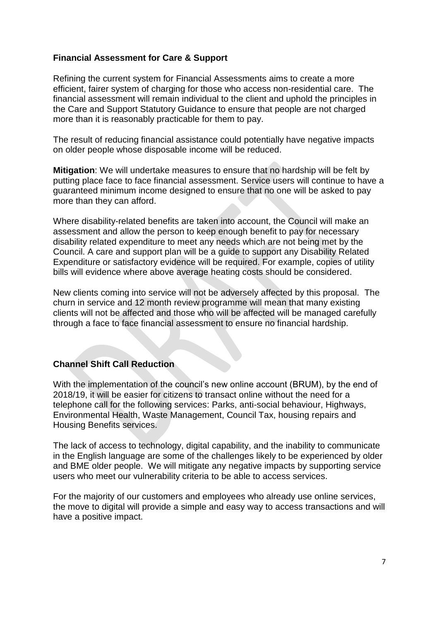# **Financial Assessment for Care & Support**

Refining the current system for Financial Assessments aims to create a more efficient, fairer system of charging for those who access non-residential care. The financial assessment will remain individual to the client and uphold the principles in the Care and Support Statutory Guidance to ensure that people are not charged more than it is reasonably practicable for them to pay.

The result of reducing financial assistance could potentially have negative impacts on older people whose disposable income will be reduced.

**Mitigation**: We will undertake measures to ensure that no hardship will be felt by putting place face to face financial assessment. Service users will continue to have a guaranteed minimum income designed to ensure that no one will be asked to pay more than they can afford.

Where disability-related benefits are taken into account, the Council will make an assessment and allow the person to keep enough benefit to pay for necessary disability related expenditure to meet any needs which are not being met by the Council. A care and support plan will be a guide to support any Disability Related Expenditure or satisfactory evidence will be required. For example, copies of utility bills will evidence where above average heating costs should be considered.

New clients coming into service will not be adversely affected by this proposal. The churn in service and 12 month review programme will mean that many existing clients will not be affected and those who will be affected will be managed carefully through a face to face financial assessment to ensure no financial hardship.

#### **Channel Shift Call Reduction**

With the implementation of the council's new online account (BRUM), by the end of 2018/19, it will be easier for citizens to transact online without the need for a telephone call for the following services: Parks, anti-social behaviour, Highways, Environmental Health, Waste Management, Council Tax, housing repairs and Housing Benefits services.

The lack of access to technology, digital capability, and the inability to communicate in the English language are some of the challenges likely to be experienced by older and BME older people. We will mitigate any negative impacts by supporting service users who meet our vulnerability criteria to be able to access services.

For the majority of our customers and employees who already use online services, the move to digital will provide a simple and easy way to access transactions and will have a positive impact.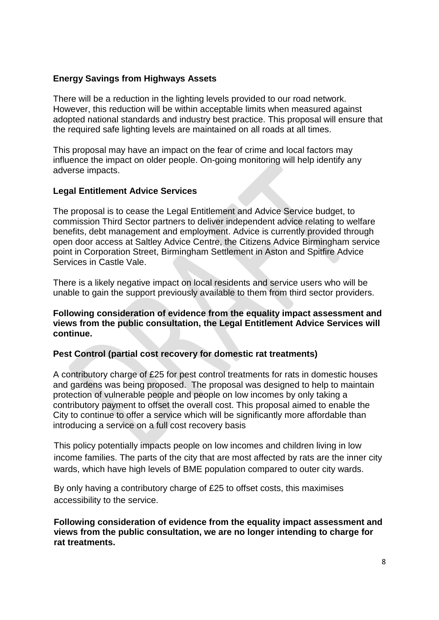# **Energy Savings from Highways Assets**

There will be a reduction in the lighting levels provided to our road network. However, this reduction will be within acceptable limits when measured against adopted national standards and industry best practice. This proposal will ensure that the required safe lighting levels are maintained on all roads at all times.

This proposal may have an impact on the fear of crime and local factors may influence the impact on older people. On-going monitoring will help identify any adverse impacts.

# **Legal Entitlement Advice Services**

The proposal is to cease the Legal Entitlement and Advice Service budget, to commission Third Sector partners to deliver independent advice relating to welfare benefits, debt management and employment. Advice is currently provided through open door access at Saltley Advice Centre, the Citizens Advice Birmingham service point in Corporation Street, Birmingham Settlement in Aston and Spitfire Advice Services in Castle Vale.

There is a likely negative impact on local residents and service users who will be unable to gain the support previously available to them from third sector providers.

**Following consideration of evidence from the equality impact assessment and views from the public consultation, the Legal Entitlement Advice Services will continue.**

#### **Pest Control (partial cost recovery for domestic rat treatments)**

A contributory charge of £25 for pest control treatments for rats in domestic houses and gardens was being proposed. The proposal was designed to help to maintain protection of vulnerable people and people on low incomes by only taking a contributory payment to offset the overall cost. This proposal aimed to enable the City to continue to offer a service which will be significantly more affordable than introducing a service on a full cost recovery basis

This policy potentially impacts people on low incomes and children living in low income families. The parts of the city that are most affected by rats are the inner city wards, which have high levels of BME population compared to outer city wards.

By only having a contributory charge of £25 to offset costs, this maximises accessibility to the service.

**Following consideration of evidence from the equality impact assessment and views from the public consultation, we are no longer intending to charge for rat treatments.**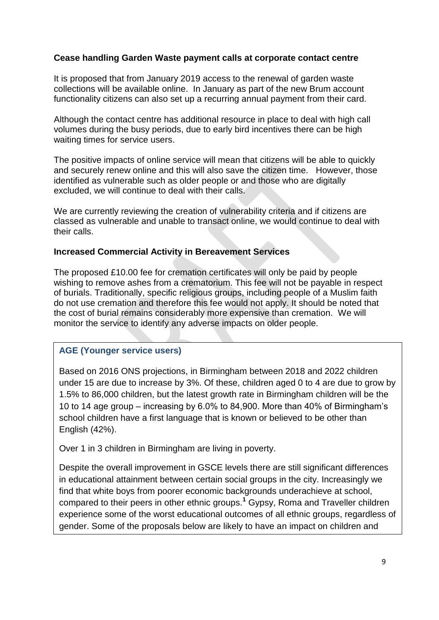# **Cease handling Garden Waste payment calls at corporate contact centre**

It is proposed that from January 2019 access to the renewal of garden waste collections will be available online. In January as part of the new Brum account functionality citizens can also set up a recurring annual payment from their card.

Although the contact centre has additional resource in place to deal with high call volumes during the busy periods, due to early bird incentives there can be high waiting times for service users.

The positive impacts of online service will mean that citizens will be able to quickly and securely renew online and this will also save the citizen time. However, those identified as vulnerable such as older people or and those who are digitally excluded, we will continue to deal with their calls.

We are currently reviewing the creation of vulnerability criteria and if citizens are classed as vulnerable and unable to transact online, we would continue to deal with their calls.

#### **Increased Commercial Activity in Bereavement Services**

The proposed £10.00 fee for cremation certificates will only be paid by people wishing to remove ashes from a crematorium. This fee will not be payable in respect of burials. Traditionally, specific religious groups, including people of a Muslim faith do not use cremation and therefore this fee would not apply. It should be noted that the cost of burial remains considerably more expensive than cremation. We will monitor the service to identify any adverse impacts on older people.

#### **AGE (Younger service users)**

young people.

Based on 2016 ONS projections, in Birmingham between 2018 and 2022 children under 15 are due to increase by 3%. Of these, children aged 0 to 4 are due to grow by 1.5% to 86,000 children, but the latest growth rate in Birmingham children will be the 10 to 14 age group – increasing by 6.0% to 84,900. More than 40% of Birmingham's school children have a first language that is known or believed to be other than English (42%).

Over 1 in 3 children in Birmingham are living in poverty.

Despite the overall improvement in GSCE levels there are still significant differences in educational attainment between certain social groups in the city. Increasingly we find that white boys from poorer economic backgrounds underachieve at school, compared to their peers in other ethnic groups.**<sup>1</sup>** Gypsy, Roma and Traveller children experience some of the worst educational outcomes of all ethnic groups, regardless of gender. Some of the proposals below are likely to have an impact on children and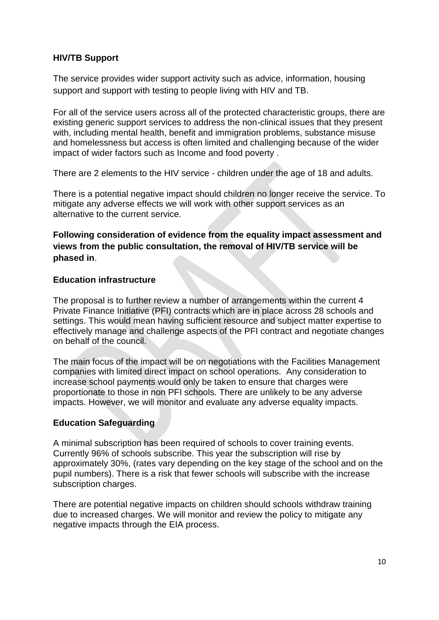# **HIV/TB Support**

The service provides wider support activity such as advice, information, housing support and support with testing to people living with HIV and TB.

For all of the service users across all of the protected characteristic groups, there are existing generic support services to address the non-clinical issues that they present with, including mental health, benefit and immigration problems, substance misuse and homelessness but access is often limited and challenging because of the wider impact of wider factors such as Income and food poverty .

There are 2 elements to the HIV service - children under the age of 18 and adults.

There is a potential negative impact should children no longer receive the service. To mitigate any adverse effects we will work with other support services as an alternative to the current service.

# **Following consideration of evidence from the equality impact assessment and views from the public consultation, the removal of HIV/TB service will be phased in**.

#### **Education infrastructure**

The proposal is to further review a number of arrangements within the current 4 Private Finance Initiative (PFI) contracts which are in place across 28 schools and settings. This would mean having sufficient resource and subject matter expertise to effectively manage and challenge aspects of the PFI contract and negotiate changes on behalf of the council.

The main focus of the impact will be on negotiations with the Facilities Management companies with limited direct impact on school operations. Any consideration to increase school payments would only be taken to ensure that charges were proportionate to those in non PFI schools. There are unlikely to be any adverse impacts. However, we will monitor and evaluate any adverse equality impacts.

#### **Education Safeguarding**

A minimal subscription has been required of schools to cover training events. Currently 96% of schools subscribe. This year the subscription will rise by approximately 30%, (rates vary depending on the key stage of the school and on the pupil numbers). There is a risk that fewer schools will subscribe with the increase subscription charges.

There are potential negative impacts on children should schools withdraw training due to increased charges. We will monitor and review the policy to mitigate any negative impacts through the EIA process.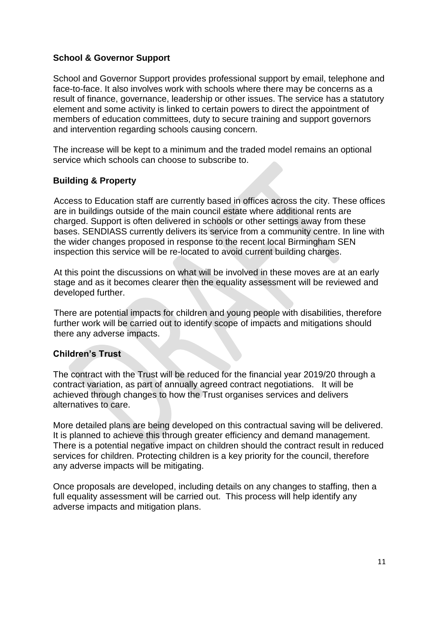# **School & Governor Support**

School and Governor Support provides professional support by email, telephone and face-to-face. It also involves work with schools where there may be concerns as a result of finance, governance, leadership or other issues. The service has a statutory element and some activity is linked to certain powers to direct the appointment of members of education committees, duty to secure training and support governors and intervention regarding schools causing concern.

The increase will be kept to a minimum and the traded model remains an optional service which schools can choose to subscribe to.

#### **Building & Property**

Access to Education staff are currently based in offices across the city. These offices are in buildings outside of the main council estate where additional rents are charged. Support is often delivered in schools or other settings away from these bases. SENDIASS currently delivers its service from a community centre. In line with the wider changes proposed in response to the recent local Birmingham SEN inspection this service will be re-located to avoid current building charges.

At this point the discussions on what will be involved in these moves are at an early stage and as it becomes clearer then the equality assessment will be reviewed and developed further.

There are potential impacts for children and young people with disabilities, therefore further work will be carried out to identify scope of impacts and mitigations should there any adverse impacts.

#### **Children's Trust**

The contract with the Trust will be reduced for the financial year 2019/20 through a contract variation, as part of annually agreed contract negotiations. It will be achieved through changes to how the Trust organises services and delivers alternatives to care.

More detailed plans are being developed on this contractual saving will be delivered. It is planned to achieve this through greater efficiency and demand management. There is a potential negative impact on children should the contract result in reduced services for children. Protecting children is a key priority for the council, therefore any adverse impacts will be mitigating.

Once proposals are developed, including details on any changes to staffing, then a full equality assessment will be carried out. This process will help identify any adverse impacts and mitigation plans.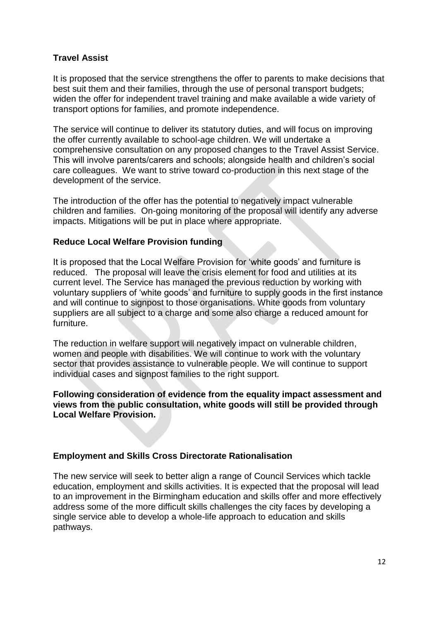# **Travel Assist**

It is proposed that the service strengthens the offer to parents to make decisions that best suit them and their families, through the use of personal transport budgets; widen the offer for independent travel training and make available a wide variety of transport options for families, and promote independence.

The service will continue to deliver its statutory duties, and will focus on improving the offer currently available to school-age children. We will undertake a comprehensive consultation on any proposed changes to the Travel Assist Service. This will involve parents/carers and schools; alongside health and children's social care colleagues. We want to strive toward co-production in this next stage of the development of the service.

The introduction of the offer has the potential to negatively impact vulnerable children and families. On-going monitoring of the proposal will identify any adverse impacts. Mitigations will be put in place where appropriate.

#### **Reduce Local Welfare Provision funding**

It is proposed that the Local Welfare Provision for 'white goods' and furniture is reduced. The proposal will leave the crisis element for food and utilities at its current level. The Service has managed the previous reduction by working with voluntary suppliers of 'white goods' and furniture to supply goods in the first instance and will continue to signpost to those organisations. White goods from voluntary suppliers are all subject to a charge and some also charge a reduced amount for furniture.

The reduction in welfare support will negatively impact on vulnerable children, women and people with disabilities. We will continue to work with the voluntary sector that provides assistance to vulnerable people. We will continue to support individual cases and signpost families to the right support.

#### **Following consideration of evidence from the equality impact assessment and views from the public consultation, white goods will still be provided through Local Welfare Provision.**

#### **Employment and Skills Cross Directorate Rationalisation**

The new service will seek to better align a range of Council Services which tackle education, employment and skills activities. It is expected that the proposal will lead to an improvement in the Birmingham education and skills offer and more effectively address some of the more difficult skills challenges the city faces by developing a single service able to develop a whole-life approach to education and skills pathways.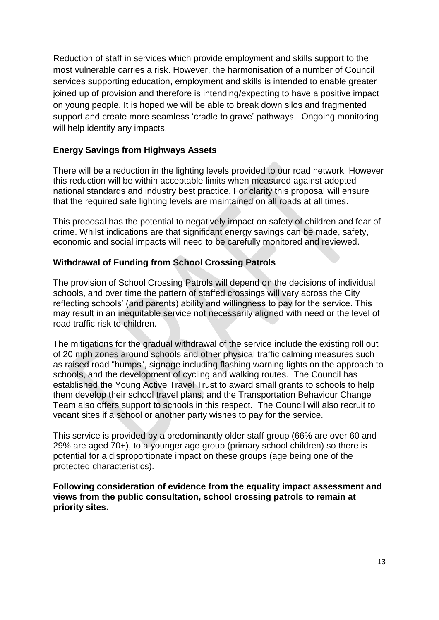Reduction of staff in services which provide employment and skills support to the most vulnerable carries a risk. However, the harmonisation of a number of Council services supporting education, employment and skills is intended to enable greater joined up of provision and therefore is intending/expecting to have a positive impact on young people. It is hoped we will be able to break down silos and fragmented support and create more seamless 'cradle to grave' pathways. Ongoing monitoring will help identify any impacts.

# **Energy Savings from Highways Assets**

There will be a reduction in the lighting levels provided to our road network. However this reduction will be within acceptable limits when measured against adopted national standards and industry best practice. For clarity this proposal will ensure that the required safe lighting levels are maintained on all roads at all times.

This proposal has the potential to negatively impact on safety of children and fear of crime. Whilst indications are that significant energy savings can be made, safety, economic and social impacts will need to be carefully monitored and reviewed.

# **Withdrawal of Funding from School Crossing Patrols**

The provision of School Crossing Patrols will depend on the decisions of individual schools, and over time the pattern of staffed crossings will vary across the City reflecting schools' (and parents) ability and willingness to pay for the service. This may result in an inequitable service not necessarily aligned with need or the level of road traffic risk to children.

The mitigations for the gradual withdrawal of the service include the existing roll out of 20 mph zones around schools and other physical traffic calming measures such as raised road "humps", signage including flashing warning lights on the approach to schools, and the development of cycling and walking routes. The Council has established the Young Active Travel Trust to award small grants to schools to help them develop their school travel plans, and the Transportation Behaviour Change Team also offers support to schools in this respect. The Council will also recruit to vacant sites if a school or another party wishes to pay for the service.

This service is provided by a predominantly older staff group (66% are over 60 and 29% are aged 70+), to a younger age group (primary school children) so there is potential for a disproportionate impact on these groups (age being one of the protected characteristics).

**Following consideration of evidence from the equality impact assessment and views from the public consultation, school crossing patrols to remain at priority sites.**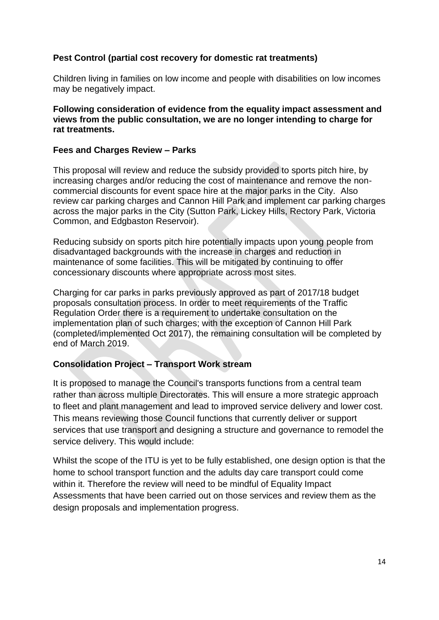# **Pest Control (partial cost recovery for domestic rat treatments)**

Children living in families on low income and people with disabilities on low incomes may be negatively impact.

**Following consideration of evidence from the equality impact assessment and views from the public consultation, we are no longer intending to charge for rat treatments.**

#### **Fees and Charges Review – Parks**

This proposal will review and reduce the subsidy provided to sports pitch hire, by increasing charges and/or reducing the cost of maintenance and remove the noncommercial discounts for event space hire at the major parks in the City. Also review car parking charges and Cannon Hill Park and implement car parking charges across the major parks in the City (Sutton Park, Lickey Hills, Rectory Park, Victoria Common, and Edgbaston Reservoir).

Reducing subsidy on sports pitch hire potentially impacts upon young people from disadvantaged backgrounds with the increase in charges and reduction in maintenance of some facilities. This will be mitigated by continuing to offer concessionary discounts where appropriate across most sites.

Charging for car parks in parks previously approved as part of 2017/18 budget proposals consultation process. In order to meet requirements of the Traffic Regulation Order there is a requirement to undertake consultation on the implementation plan of such charges; with the exception of Cannon Hill Park (completed/implemented Oct 2017), the remaining consultation will be completed by end of March 2019.

#### **Consolidation Project – Transport Work stream**

It is proposed to manage the Council's transports functions from a central team rather than across multiple Directorates. This will ensure a more strategic approach to fleet and plant management and lead to improved service delivery and lower cost. This means reviewing those Council functions that currently deliver or support services that use transport and designing a structure and governance to remodel the service delivery. This would include:

Whilst the scope of the ITU is yet to be fully established, one design option is that the home to school transport function and the adults day care transport could come within it. Therefore the review will need to be mindful of Equality Impact Assessments that have been carried out on those services and review them as the design proposals and implementation progress.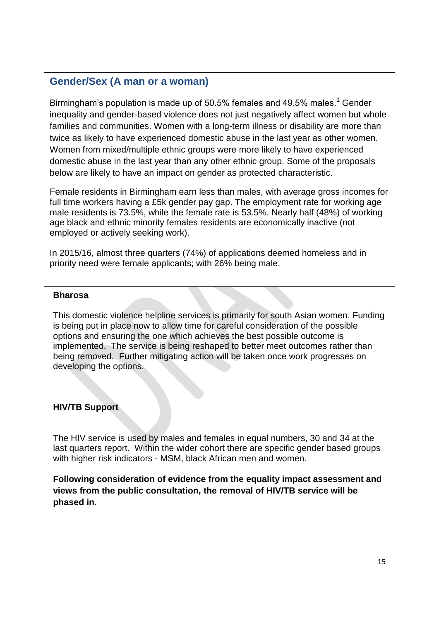# **Gender/Sex (A man or a woman)**

Birmingham's population is made up of 50.5% females and 49.5% males.<sup>1</sup> Gender inequality and gender-based violence does not just negatively affect women but whole families and communities. Women with a long-term illness or disability are more than twice as likely to have experienced domestic abuse in the last year as other women. Women from mixed/multiple ethnic groups were more likely to have experienced domestic abuse in the last year than any other ethnic group. Some of the proposals below are likely to have an impact on gender as protected characteristic.

Female residents in Birmingham earn less than males, with average gross incomes for full time workers having a £5k gender pay gap. The employment rate for working age male residents is 73.5%, while the female rate is 53.5%. Nearly half (48%) of working age black and ethnic minority females residents are economically inactive (not employed or actively seeking work).

In 2015/16, almost three quarters (74%) of applications deemed homeless and in priority need were female applicants; with 26% being male.

#### **Bharosa**

This domestic violence helpline services is primarily for south Asian women. Funding is being put in place now to allow time for careful consideration of the possible options and ensuring the one which achieves the best possible outcome is implemented. The service is being reshaped to better meet outcomes rather than being removed. Further mitigating action will be taken once work progresses on developing the options.

#### **HIV/TB Support**

The HIV service is used by males and females in equal numbers, 30 and 34 at the last quarters report. Within the wider cohort there are specific gender based groups with higher risk indicators - MSM, black African men and women.

**Following consideration of evidence from the equality impact assessment and views from the public consultation, the removal of HIV/TB service will be phased in**.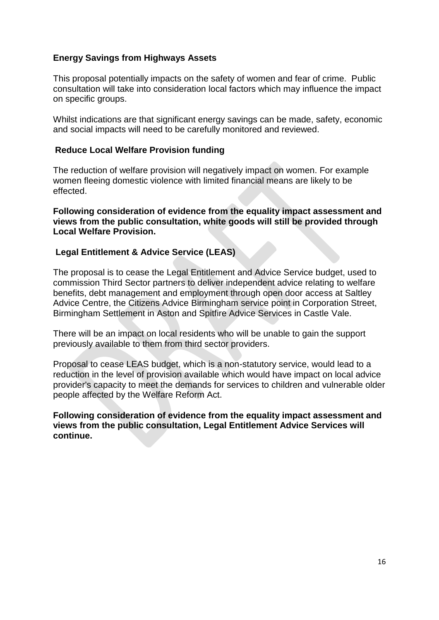# **Energy Savings from Highways Assets**

This proposal potentially impacts on the safety of women and fear of crime. Public consultation will take into consideration local factors which may influence the impact on specific groups.

Whilst indications are that significant energy savings can be made, safety, economic and social impacts will need to be carefully monitored and reviewed.

#### **Reduce Local Welfare Provision funding**

The reduction of welfare provision will negatively impact on women. For example women fleeing domestic violence with limited financial means are likely to be effected.

**Following consideration of evidence from the equality impact assessment and views from the public consultation, white goods will still be provided through Local Welfare Provision.**

#### **Legal Entitlement & Advice Service (LEAS)**

The proposal is to cease the Legal Entitlement and Advice Service budget, used to commission Third Sector partners to deliver independent advice relating to welfare benefits, debt management and employment through open door access at Saltley Advice Centre, the Citizens Advice Birmingham service point in Corporation Street, Birmingham Settlement in Aston and Spitfire Advice Services in Castle Vale.

There will be an impact on local residents who will be unable to gain the support previously available to them from third sector providers.

Proposal to cease LEAS budget, which is a non-statutory service, would lead to a reduction in the level of provision available which would have impact on local advice provider's capacity to meet the demands for services to children and vulnerable older people affected by the Welfare Reform Act.

**Following consideration of evidence from the equality impact assessment and views from the public consultation, Legal Entitlement Advice Services will continue.**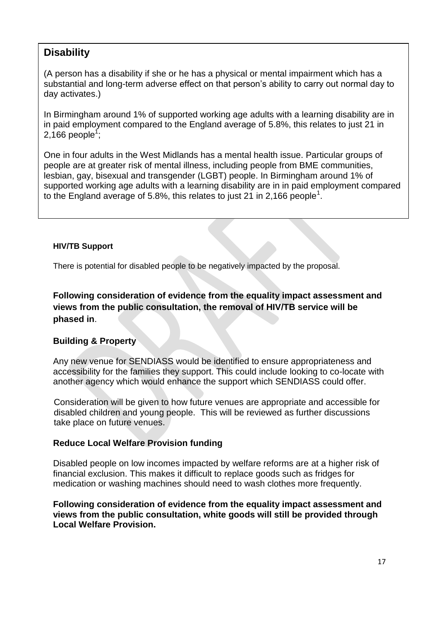# **Disability**

(A person has a disability if she or he has a physical or mental impairment which has a substantial and long-term adverse effect on that person's ability to carry out normal day to day activates.)

In Birmingham around 1% of supported working age adults with a learning disability are in in paid employment compared to the England average of 5.8%, this relates to just 21 in 2,166 people $^{\mathsf{1}}$ ;

One in four adults in the West Midlands has a mental health issue. Particular groups of people are at greater risk of mental illness, including people from BME communities, lesbian, gay, bisexual and transgender (LGBT) people. In Birmingham around 1% of supported working age adults with a learning disability are in in paid employment compared to the England average of 5.8%, this relates to just 21 in 2,166 people<sup>1</sup>.

#### **HIV/TB Support**

There is potential for disabled people to be negatively impacted by the proposal.

**Following consideration of evidence from the equality impact assessment and views from the public consultation, the removal of HIV/TB service will be phased in**.

# **Building & Property**

Any new venue for SENDIASS would be identified to ensure appropriateness and accessibility for the families they support. This could include looking to co-locate with another agency which would enhance the support which SENDIASS could offer.

Consideration will be given to how future venues are appropriate and accessible for disabled children and young people. This will be reviewed as further discussions take place on future venues.

# **Reduce Local Welfare Provision funding**

Disabled people on low incomes impacted by welfare reforms are at a higher risk of financial exclusion. This makes it difficult to replace goods such as fridges for medication or washing machines should need to wash clothes more frequently.

# **Following consideration of evidence from the equality impact assessment and views from the public consultation, white goods will still be provided through Local Welfare Provision.**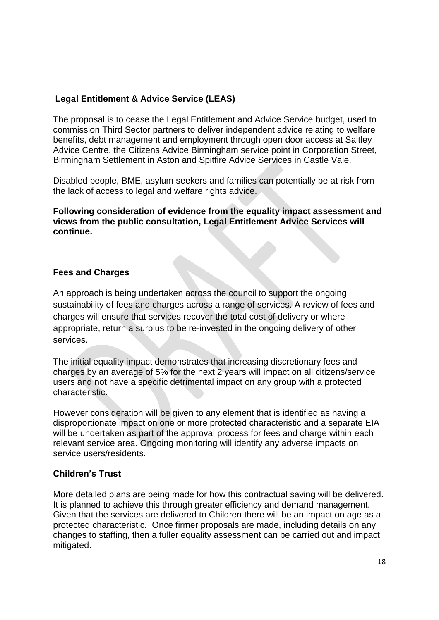# **Legal Entitlement & Advice Service (LEAS)**

The proposal is to cease the Legal Entitlement and Advice Service budget, used to commission Third Sector partners to deliver independent advice relating to welfare benefits, debt management and employment through open door access at Saltley Advice Centre, the Citizens Advice Birmingham service point in Corporation Street, Birmingham Settlement in Aston and Spitfire Advice Services in Castle Vale.

Disabled people, BME, asylum seekers and families can potentially be at risk from the lack of access to legal and welfare rights advice.

**Following consideration of evidence from the equality impact assessment and views from the public consultation, Legal Entitlement Advice Services will continue.**

#### **Fees and Charges**

An approach is being undertaken across the council to support the ongoing sustainability of fees and charges across a range of services. A review of fees and charges will ensure that services recover the total cost of delivery or where appropriate, return a surplus to be re-invested in the ongoing delivery of other services.

The initial equality impact demonstrates that increasing discretionary fees and charges by an average of 5% for the next 2 years will impact on all citizens/service users and not have a specific detrimental impact on any group with a protected characteristic.

However consideration will be given to any element that is identified as having a disproportionate impact on one or more protected characteristic and a separate EIA will be undertaken as part of the approval process for fees and charge within each relevant service area. Ongoing monitoring will identify any adverse impacts on service users/residents.

# **Children's Trust**

More detailed plans are being made for how this contractual saving will be delivered. It is planned to achieve this through greater efficiency and demand management. Given that the services are delivered to Children there will be an impact on age as a protected characteristic. Once firmer proposals are made, including details on any changes to staffing, then a fuller equality assessment can be carried out and impact mitigated.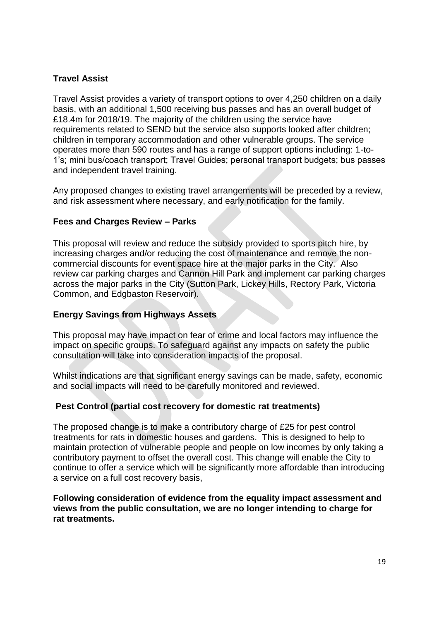# **Travel Assist**

Travel Assist provides a variety of transport options to over 4,250 children on a daily basis, with an additional 1,500 receiving bus passes and has an overall budget of £18.4m for 2018/19. The majority of the children using the service have requirements related to SEND but the service also supports looked after children; children in temporary accommodation and other vulnerable groups. The service operates more than 590 routes and has a range of support options including: 1-to-1's; mini bus/coach transport; Travel Guides; personal transport budgets; bus passes and independent travel training.

Any proposed changes to existing travel arrangements will be preceded by a review, and risk assessment where necessary, and early notification for the family.

#### **Fees and Charges Review – Parks**

This proposal will review and reduce the subsidy provided to sports pitch hire, by increasing charges and/or reducing the cost of maintenance and remove the noncommercial discounts for event space hire at the major parks in the City. Also review car parking charges and Cannon Hill Park and implement car parking charges across the major parks in the City (Sutton Park, Lickey Hills, Rectory Park, Victoria Common, and Edgbaston Reservoir).

#### **Energy Savings from Highways Assets**

This proposal may have impact on fear of crime and local factors may influence the impact on specific groups. To safeguard against any impacts on safety the public consultation will take into consideration impacts of the proposal.

Whilst indications are that significant energy savings can be made, safety, economic and social impacts will need to be carefully monitored and reviewed.

#### **Pest Control (partial cost recovery for domestic rat treatments)**

The proposed change is to make a contributory charge of £25 for pest control treatments for rats in domestic houses and gardens. This is designed to help to maintain protection of vulnerable people and people on low incomes by only taking a contributory payment to offset the overall cost. This change will enable the City to continue to offer a service which will be significantly more affordable than introducing a service on a full cost recovery basis,

**Following consideration of evidence from the equality impact assessment and views from the public consultation, we are no longer intending to charge for rat treatments.**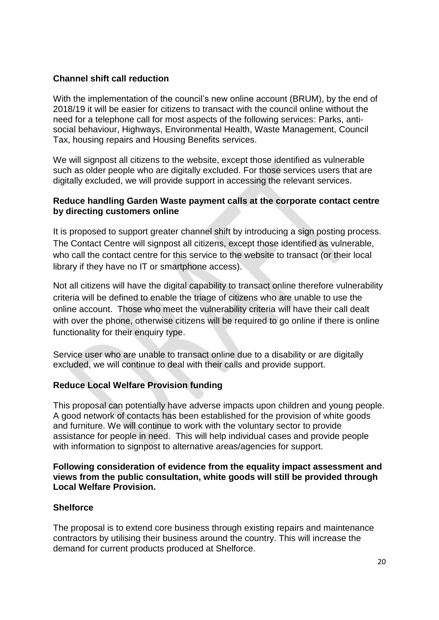# **Channel shift call reduction**

With the implementation of the council's new online account (BRUM), by the end of 2018/19 it will be easier for citizens to transact with the council online without the need for a telephone call for most aspects of the following services: Parks, antisocial behaviour, Highways, Environmental Health, Waste Management, Council Tax, housing repairs and Housing Benefits services.

We will signpost all citizens to the website, except those identified as vulnerable such as older people who are digitally excluded. For those services users that are digitally excluded, we will provide support in accessing the relevant services.

#### **Reduce handling Garden Waste payment calls at the corporate contact centre by directing customers online**

It is proposed to support greater channel shift by introducing a sign posting process. The Contact Centre will signpost all citizens, except those identified as vulnerable, who call the contact centre for this service to the website to transact (or their local library if they have no IT or smartphone access).

Not all citizens will have the digital capability to transact online therefore vulnerability criteria will be defined to enable the triage of citizens who are unable to use the online account. Those who meet the vulnerability criteria will have their call dealt with over the phone, otherwise citizens will be required to go online if there is online functionality for their enquiry type.

Service user who are unable to transact online due to a disability or are digitally excluded, we will continue to deal with their calls and provide support.

# **Reduce Local Welfare Provision funding**

This proposal can potentially have adverse impacts upon children and young people. A good network of contacts has been established for the provision of white goods and furniture. We will continue to work with the voluntary sector to provide assistance for people in need. This will help individual cases and provide people with information to signpost to alternative areas/agencies for support.

#### **Following consideration of evidence from the equality impact assessment and views from the public consultation, white goods will still be provided through Local Welfare Provision.**

#### **Shelforce**

The proposal is to extend core business through existing repairs and maintenance contractors by utilising their business around the country. This will increase the demand for current products produced at Shelforce.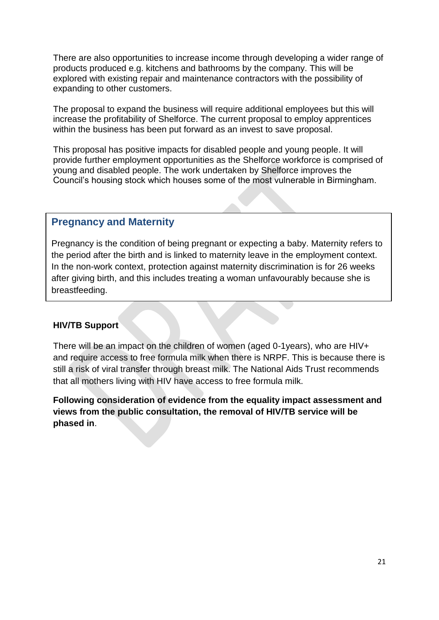There are also opportunities to increase income through developing a wider range of products produced e.g. kitchens and bathrooms by the company. This will be explored with existing repair and maintenance contractors with the possibility of expanding to other customers.

The proposal to expand the business will require additional employees but this will increase the profitability of Shelforce. The current proposal to employ apprentices within the business has been put forward as an invest to save proposal.

This proposal has positive impacts for disabled people and young people. It will provide further employment opportunities as the Shelforce workforce is comprised of young and disabled people. The work undertaken by Shelforce improves the Council's housing stock which houses some of the most vulnerable in Birmingham.

# **Pregnancy and Maternity**

Pregnancy is the condition of being pregnant or expecting a baby. Maternity refers to the period after the birth and is linked to maternity leave in the employment context. In the non-work context, protection against maternity discrimination is for 26 weeks after giving birth, and this includes treating a woman unfavourably because she is breastfeeding.

# **HIV/TB Support**

There will be an impact on the children of women (aged 0-1years), who are HIV+ and require access to free formula milk when there is NRPF. This is because there is still a risk of viral transfer through breast milk. The National Aids Trust recommends that all mothers living with HIV have access to free formula milk.

**Following consideration of evidence from the equality impact assessment and views from the public consultation, the removal of HIV/TB service will be phased in**.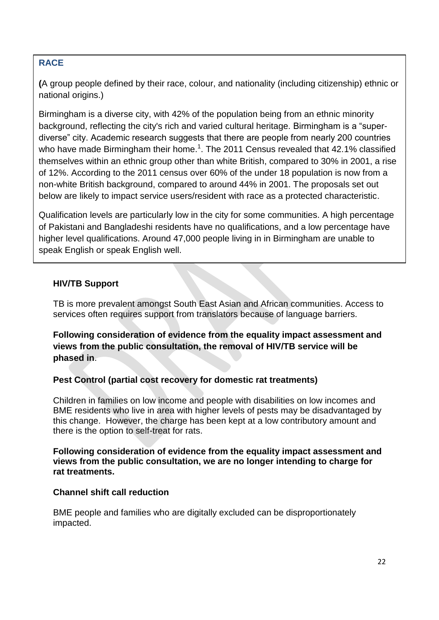# **RACE**

**(**A group people defined by their race, colour, and nationality (including citizenship) ethnic or national origins.)

Birmingham is a diverse city, with 42% of the population being from an ethnic minority background, reflecting the city's rich and varied cultural heritage. Birmingham is a "superdiverse" city. Academic research suggests that there are people from nearly 200 countries who have made Birmingham their home.<sup>1</sup>. The 2011 Census revealed that 42.1% classified themselves within an ethnic group other than white British, compared to 30% in 2001, a rise of 12%. According to the 2011 census over 60% of the under 18 population is now from a non-white British background, compared to around 44% in 2001. The proposals set out below are likely to impact service users/resident with race as a protected characteristic.

Qualification levels are particularly low in the city for some communities. A high percentage of Pakistani and Bangladeshi residents have no qualifications, and a low percentage have higher level qualifications. Around 47,000 people living in in Birmingham are unable to speak English or speak English well.

# **HIV/TB Support**

TB is more prevalent amongst South East Asian and African communities. Access to services often requires support from translators because of language barriers.

**Following consideration of evidence from the equality impact assessment and views from the public consultation, the removal of HIV/TB service will be phased in**.

# **Pest Control (partial cost recovery for domestic rat treatments)**

Children in families on low income and people with disabilities on low incomes and BME residents who live in area with higher levels of pests may be disadvantaged by this change. However, the charge has been kept at a low contributory amount and there is the option to self-treat for rats.

**Following consideration of evidence from the equality impact assessment and views from the public consultation, we are no longer intending to charge for rat treatments.**

#### **Channel shift call reduction**

BME people and families who are digitally excluded can be disproportionately impacted.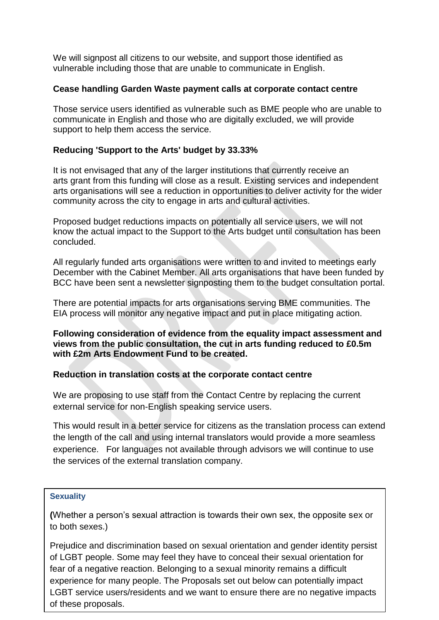We will signpost all citizens to our website, and support those identified as vulnerable including those that are unable to communicate in English.

### **Cease handling Garden Waste payment calls at corporate contact centre**

Those service users identified as vulnerable such as BME people who are unable to communicate in English and those who are digitally excluded, we will provide support to help them access the service.

# **Reducing 'Support to the Arts' budget by 33.33%**

It is not envisaged that any of the larger institutions that currently receive an arts grant from this funding will close as a result. Existing services and independent arts organisations will see a reduction in opportunities to deliver activity for the wider community across the city to engage in arts and cultural activities.

Proposed budget reductions impacts on potentially all service users, we will not know the actual impact to the Support to the Arts budget until consultation has been concluded.

All regularly funded arts organisations were written to and invited to meetings early December with the Cabinet Member. All arts organisations that have been funded by BCC have been sent a newsletter signposting them to the budget consultation portal.

There are potential impacts for arts organisations serving BME communities. The EIA process will monitor any negative impact and put in place mitigating action.

**Following consideration of evidence from the equality impact assessment and views from the public consultation, the cut in arts funding reduced to £0.5m with £2m Arts Endowment Fund to be created.**

#### **Reduction in translation costs at the corporate contact centre**

We are proposing to use staff from the Contact Centre by replacing the current external service for non-English speaking service users.

This would result in a better service for citizens as the translation process can extend the length of the call and using internal translators would provide a more seamless experience. For languages not available through advisors we will continue to use the services of the external translation company.

#### **Sexuality**

**(**Whether a person's sexual attraction is towards their own sex, the opposite sex or to both sexes.)

23 Prejudice and discrimination based on sexual orientation and gender identity persist of LGBT people. Some may feel they have to conceal their sexual orientation for fear of a negative reaction. Belonging to a sexual minority remains a difficult experience for many people. The Proposals set out below can potentially impact LGBT service users/residents and we want to ensure there are no negative impacts of these proposals.